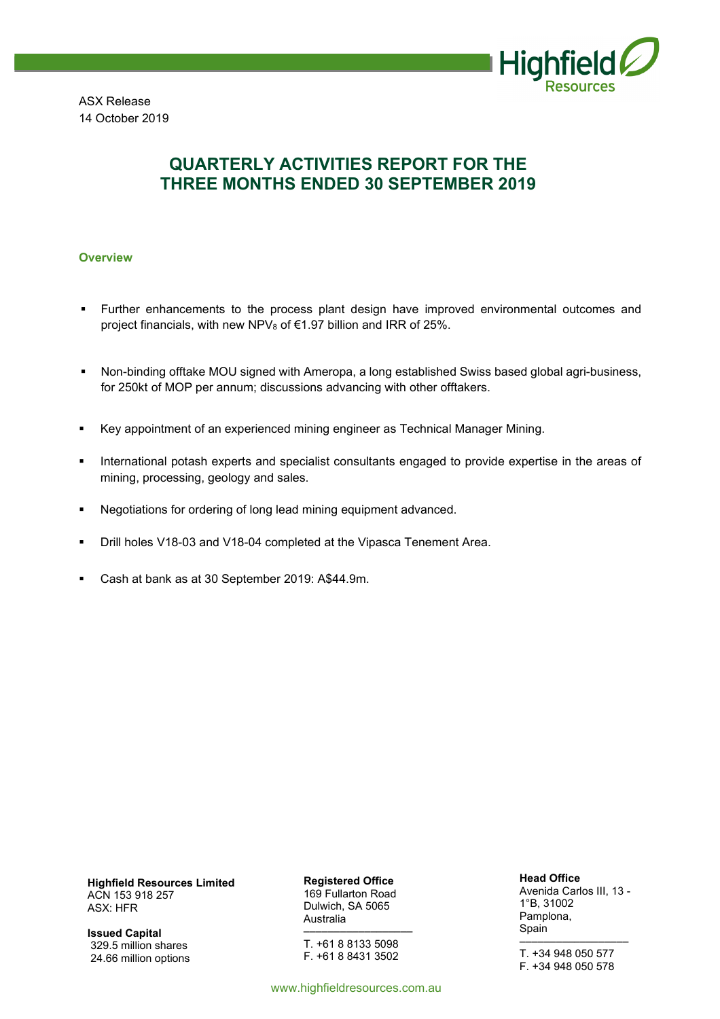

ASX Release 14 October 2019

# **QUARTERLY ACTIVITIES REPORT FOR THE THREE MONTHS ENDED 30 SEPTEMBER 2019**

#### **Overview**

- Further enhancements to the process plant design have improved environmental outcomes and project financials, with new NPV $_8$  of  $\in$ 1.97 billion and IRR of 25%.
- Non-binding offtake MOU signed with Ameropa, a long established Swiss based global agri-business, for 250kt of MOP per annum; discussions advancing with other offtakers.
- Key appointment of an experienced mining engineer as Technical Manager Mining.
- **International potash experts and specialist consultants engaged to provide expertise in the areas of** mining, processing, geology and sales.
- Negotiations for ordering of long lead mining equipment advanced.
- **Drill holes V18-03 and V18-04 completed at the Vipasca Tenement Area.**
- Cash at bank as at 30 September 2019: A\$44.9m.

**Highfield Resources Limited**  ACN 153 918 257 ASX: HFR

**Issued Capital**  329.5 million shares 24.66 million options **Registered Office**  169 Fullarton Road Dulwich, SA 5065 Australia

–––––––––––––––––– T. +61 8 8133 5098 F. +61 8 8431 3502

www.highfieldresources.com.au

**Head Office** 

Avenida Carlos III, 13 - 1°B, 31002 Pamplona, Spain ––––––––––––––––––

T. +34 948 050 577 F. +34 948 050 578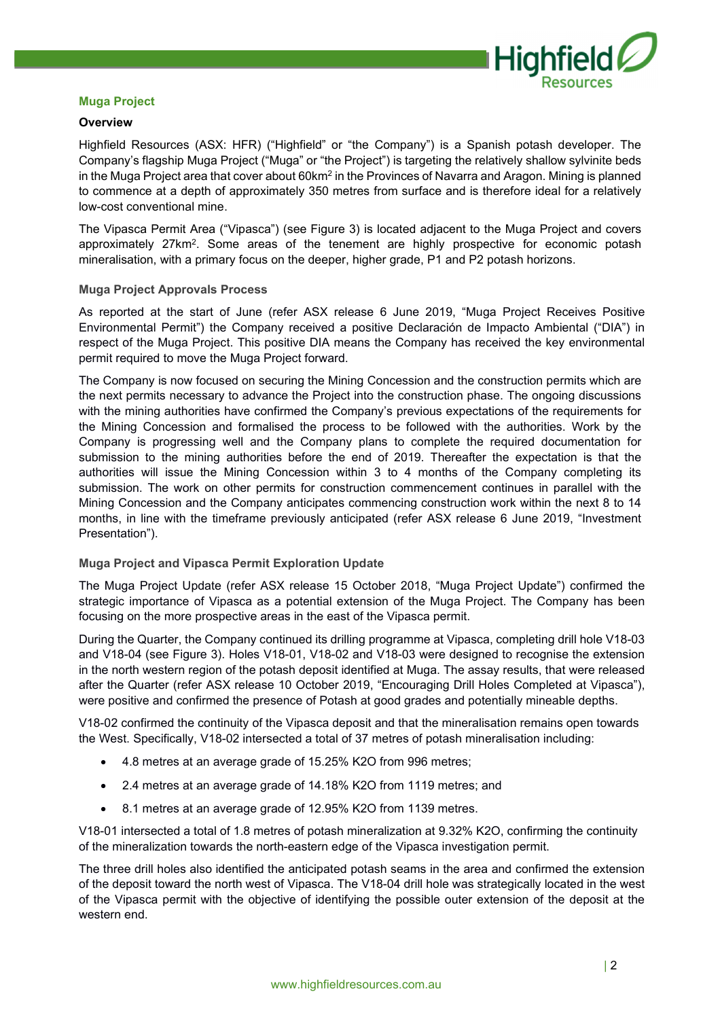

#### **Muga Project**

#### **Overview**

Highfield Resources (ASX: HFR) ("Highfield" or "the Company") is a Spanish potash developer. The Company's flagship Muga Project ("Muga" or "the Project") is targeting the relatively shallow sylvinite beds in the Muga Project area that cover about 60km<sup>2</sup> in the Provinces of Navarra and Aragon. Mining is planned to commence at a depth of approximately 350 metres from surface and is therefore ideal for a relatively low-cost conventional mine.

The Vipasca Permit Area ("Vipasca") (see Figure 3) is located adjacent to the Muga Project and covers approximately 27km<sup>2</sup>. Some areas of the tenement are highly prospective for economic potash mineralisation, with a primary focus on the deeper, higher grade, P1 and P2 potash horizons.

#### **Muga Project Approvals Process**

As reported at the start of June (refer ASX release 6 June 2019, "Muga Project Receives Positive Environmental Permit") the Company received a positive Declaración de Impacto Ambiental ("DIA") in respect of the Muga Project. This positive DIA means the Company has received the key environmental permit required to move the Muga Project forward.

The Company is now focused on securing the Mining Concession and the construction permits which are the next permits necessary to advance the Project into the construction phase. The ongoing discussions with the mining authorities have confirmed the Company's previous expectations of the requirements for the Mining Concession and formalised the process to be followed with the authorities. Work by the Company is progressing well and the Company plans to complete the required documentation for submission to the mining authorities before the end of 2019. Thereafter the expectation is that the authorities will issue the Mining Concession within 3 to 4 months of the Company completing its submission. The work on other permits for construction commencement continues in parallel with the Mining Concession and the Company anticipates commencing construction work within the next 8 to 14 months, in line with the timeframe previously anticipated (refer ASX release 6 June 2019, "Investment Presentation").

### **Muga Project and Vipasca Permit Exploration Update**

The Muga Project Update (refer ASX release 15 October 2018, "Muga Project Update") confirmed the strategic importance of Vipasca as a potential extension of the Muga Project. The Company has been focusing on the more prospective areas in the east of the Vipasca permit.

During the Quarter, the Company continued its drilling programme at Vipasca, completing drill hole V18-03 and V18-04 (see Figure 3). Holes V18-01, V18-02 and V18-03 were designed to recognise the extension in the north western region of the potash deposit identified at Muga. The assay results, that were released after the Quarter (refer ASX release 10 October 2019, "Encouraging Drill Holes Completed at Vipasca"), were positive and confirmed the presence of Potash at good grades and potentially mineable depths.

V18-02 confirmed the continuity of the Vipasca deposit and that the mineralisation remains open towards the West. Specifically, V18-02 intersected a total of 37 metres of potash mineralisation including:

- 4.8 metres at an average grade of 15.25% K2O from 996 metres;
- 2.4 metres at an average grade of 14.18% K2O from 1119 metres; and
- 8.1 metres at an average grade of 12.95% K2O from 1139 metres.

V18-01 intersected a total of 1.8 metres of potash mineralization at 9.32% K2O, confirming the continuity of the mineralization towards the north-eastern edge of the Vipasca investigation permit.

The three drill holes also identified the anticipated potash seams in the area and confirmed the extension of the deposit toward the north west of Vipasca. The V18-04 drill hole was strategically located in the west of the Vipasca permit with the objective of identifying the possible outer extension of the deposit at the western end.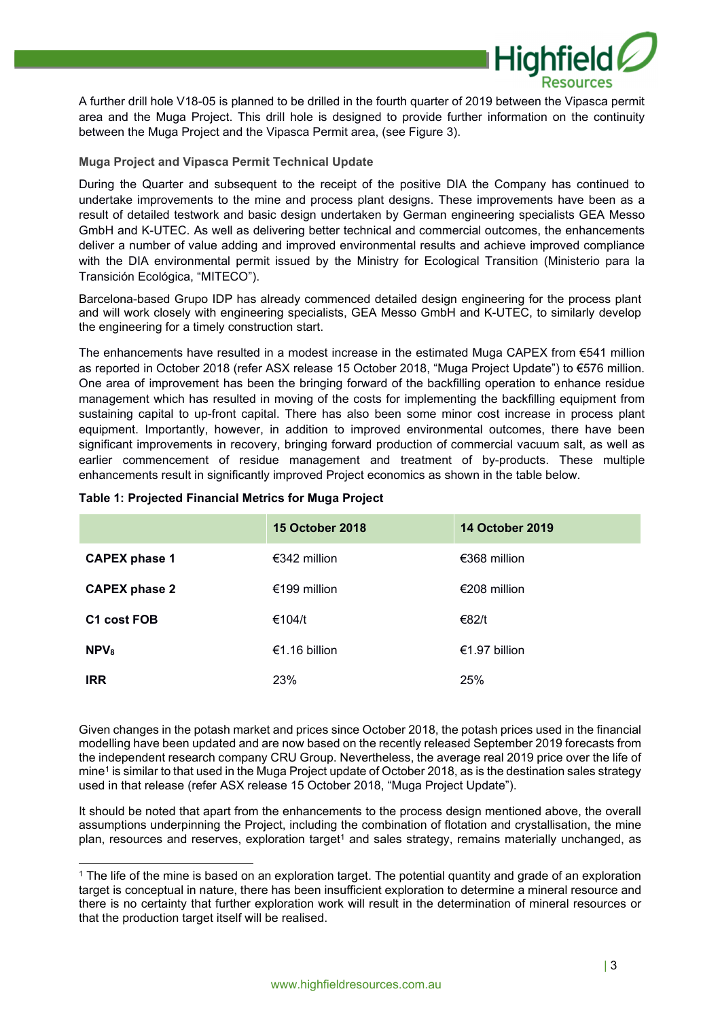

A further drill hole V18-05 is planned to be drilled in the fourth quarter of 2019 between the Vipasca permit area and the Muga Project. This drill hole is designed to provide further information on the continuity between the Muga Project and the Vipasca Permit area, (see Figure 3).

### **Muga Project and Vipasca Permit Technical Update**

During the Quarter and subsequent to the receipt of the positive DIA the Company has continued to undertake improvements to the mine and process plant designs. These improvements have been as a result of detailed testwork and basic design undertaken by German engineering specialists GEA Messo GmbH and K-UTEC. As well as delivering better technical and commercial outcomes, the enhancements deliver a number of value adding and improved environmental results and achieve improved compliance with the DIA environmental permit issued by the Ministry for Ecological Transition (Ministerio para la Transición Ecológica, "MITECO").

Barcelona-based Grupo IDP has already commenced detailed design engineering for the process plant and will work closely with engineering specialists, GEA Messo GmbH and K-UTEC, to similarly develop the engineering for a timely construction start.

The enhancements have resulted in a modest increase in the estimated Muga CAPEX from  $\epsilon$ 541 million as reported in October 2018 (refer ASX release 15 October 2018, "Muga Project Update") to €576 million. One area of improvement has been the bringing forward of the backfilling operation to enhance residue management which has resulted in moving of the costs for implementing the backfilling equipment from sustaining capital to up-front capital. There has also been some minor cost increase in process plant equipment. Importantly, however, in addition to improved environmental outcomes, there have been significant improvements in recovery, bringing forward production of commercial vacuum salt, as well as earlier commencement of residue management and treatment of by-products. These multiple enhancements result in significantly improved Project economics as shown in the table below.

|                         | <b>15 October 2018</b> | <b>14 October 2019</b> |
|-------------------------|------------------------|------------------------|
| <b>CAPEX phase 1</b>    | €342 million           | €368 million           |
| <b>CAPEX phase 2</b>    | €199 million           | €208 million           |
| C <sub>1</sub> cost FOB | €104/t                 | €82/t                  |
| NPV <sub>8</sub>        | €1.16 billion          | €1.97 billion          |
| <b>IRR</b>              | 23%                    | 25%                    |

#### **Table 1: Projected Financial Metrics for Muga Project**

Given changes in the potash market and prices since October 2018, the potash prices used in the financial modelling have been updated and are now based on the recently released September 2019 forecasts from the independent research company CRU Group. Nevertheless, the average real 2019 price over the life of mine<sup>1</sup> is similar to that used in the Muga Project update of October 2018, as is the destination sales strategy used in that release (refer ASX release 15 October 2018, "Muga Project Update").

It should be noted that apart from the enhancements to the process design mentioned above, the overall assumptions underpinning the Project, including the combination of flotation and crystallisation, the mine plan, resources and reserves, exploration target<sup>1</sup> and sales strategy, remains materially unchanged, as

<sup>1</sup> The life of the mine is based on an exploration target. The potential quantity and grade of an exploration target is conceptual in nature, there has been insufficient exploration to determine a mineral resource and there is no certainty that further exploration work will result in the determination of mineral resources or that the production target itself will be realised.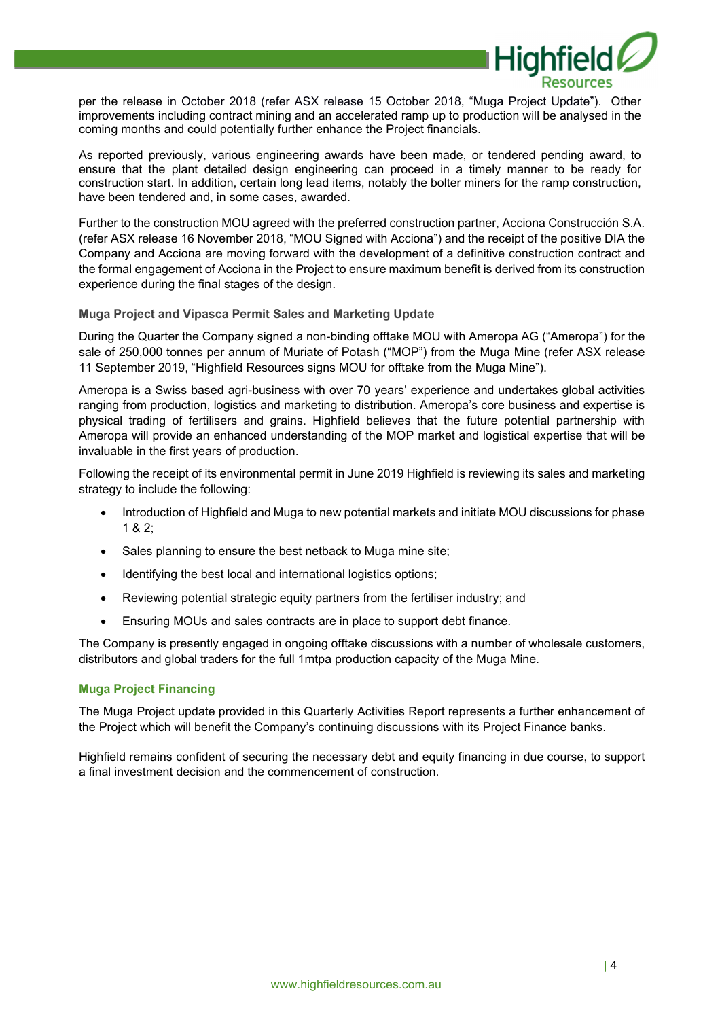

per the release in October 2018 (refer ASX release 15 October 2018, "Muga Project Update"). Other improvements including contract mining and an accelerated ramp up to production will be analysed in the coming months and could potentially further enhance the Project financials.

As reported previously, various engineering awards have been made, or tendered pending award, to ensure that the plant detailed design engineering can proceed in a timely manner to be ready for construction start. In addition, certain long lead items, notably the bolter miners for the ramp construction, have been tendered and, in some cases, awarded.

Further to the construction MOU agreed with the preferred construction partner, Acciona Construcción S.A. (refer ASX release 16 November 2018, "MOU Signed with Acciona") and the receipt of the positive DIA the Company and Acciona are moving forward with the development of a definitive construction contract and the formal engagement of Acciona in the Project to ensure maximum benefit is derived from its construction experience during the final stages of the design.

#### **Muga Project and Vipasca Permit Sales and Marketing Update**

During the Quarter the Company signed a non-binding offtake MOU with Ameropa AG ("Ameropa") for the sale of 250,000 tonnes per annum of Muriate of Potash ("MOP") from the Muga Mine (refer ASX release 11 September 2019, "Highfield Resources signs MOU for offtake from the Muga Mine").

Ameropa is a Swiss based agri-business with over 70 years' experience and undertakes global activities ranging from production, logistics and marketing to distribution. Ameropa's core business and expertise is physical trading of fertilisers and grains. Highfield believes that the future potential partnership with Ameropa will provide an enhanced understanding of the MOP market and logistical expertise that will be invaluable in the first years of production.

Following the receipt of its environmental permit in June 2019 Highfield is reviewing its sales and marketing strategy to include the following:

- Introduction of Highfield and Muga to new potential markets and initiate MOU discussions for phase  $1 & 2$
- Sales planning to ensure the best netback to Muga mine site;
- Identifying the best local and international logistics options;
- Reviewing potential strategic equity partners from the fertiliser industry; and
- Ensuring MOUs and sales contracts are in place to support debt finance.

The Company is presently engaged in ongoing offtake discussions with a number of wholesale customers, distributors and global traders for the full 1mtpa production capacity of the Muga Mine.

#### **Muga Project Financing**

The Muga Project update provided in this Quarterly Activities Report represents a further enhancement of the Project which will benefit the Company's continuing discussions with its Project Finance banks.

Highfield remains confident of securing the necessary debt and equity financing in due course, to support a final investment decision and the commencement of construction.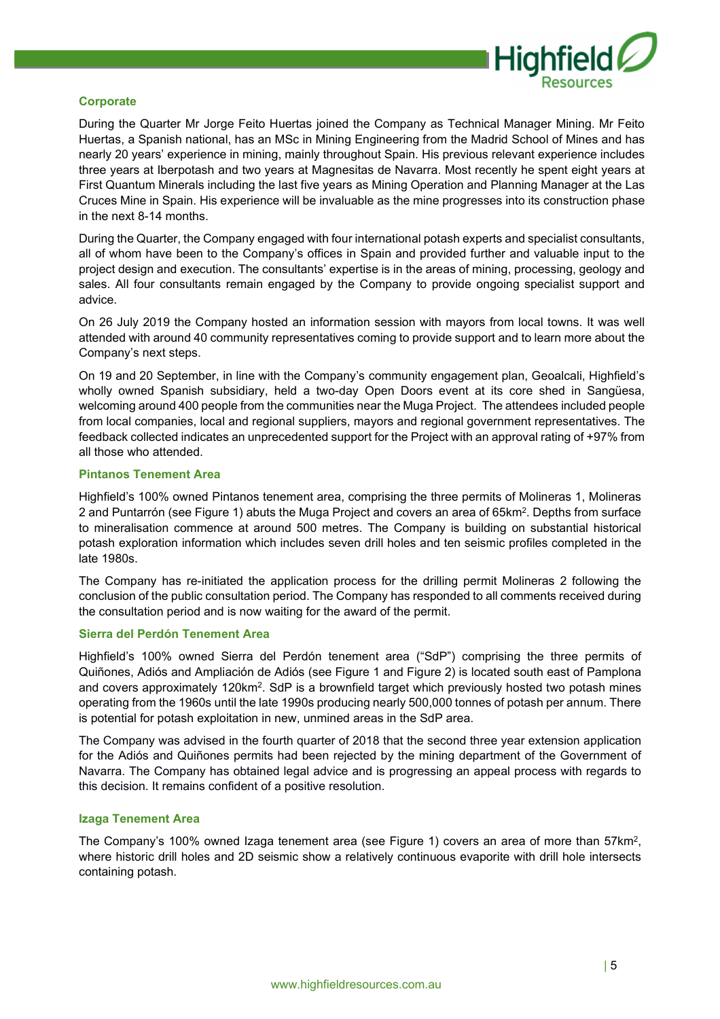

#### **Corporate**

During the Quarter Mr Jorge Feito Huertas joined the Company as Technical Manager Mining. Mr Feito Huertas, a Spanish national, has an MSc in Mining Engineering from the Madrid School of Mines and has nearly 20 years' experience in mining, mainly throughout Spain. His previous relevant experience includes three years at Iberpotash and two years at Magnesitas de Navarra. Most recently he spent eight years at First Quantum Minerals including the last five years as Mining Operation and Planning Manager at the Las Cruces Mine in Spain. His experience will be invaluable as the mine progresses into its construction phase in the next 8-14 months.

During the Quarter, the Company engaged with four international potash experts and specialist consultants, all of whom have been to the Company's offices in Spain and provided further and valuable input to the project design and execution. The consultants' expertise is in the areas of mining, processing, geology and sales. All four consultants remain engaged by the Company to provide ongoing specialist support and advice.

On 26 July 2019 the Company hosted an information session with mayors from local towns. It was well attended with around 40 community representatives coming to provide support and to learn more about the Company's next steps.

On 19 and 20 September, in line with the Company's community engagement plan, Geoalcali, Highfield's wholly owned Spanish subsidiary, held a two-day Open Doors event at its core shed in Sangüesa, welcoming around 400 people from the communities near the Muga Project. The attendees included people from local companies, local and regional suppliers, mayors and regional government representatives. The feedback collected indicates an unprecedented support for the Project with an approval rating of +97% from all those who attended.

#### **Pintanos Tenement Area**

Highfield's 100% owned Pintanos tenement area, comprising the three permits of Molineras 1, Molineras 2 and Puntarrón (see Figure 1) abuts the Muga Project and covers an area of 65km<sup>2</sup> . Depths from surface to mineralisation commence at around 500 metres. The Company is building on substantial historical potash exploration information which includes seven drill holes and ten seismic profiles completed in the late 1980s.

The Company has re-initiated the application process for the drilling permit Molineras 2 following the conclusion of the public consultation period. The Company has responded to all comments received during the consultation period and is now waiting for the award of the permit.

#### **Sierra del Perdón Tenement Area**

Highfield's 100% owned Sierra del Perdón tenement area ("SdP") comprising the three permits of Quiñones, Adiós and Ampliación de Adiós (see Figure 1 and Figure 2) is located south east of Pamplona and covers approximately 120km<sup>2</sup>. SdP is a brownfield target which previously hosted two potash mines operating from the 1960s until the late 1990s producing nearly 500,000 tonnes of potash per annum. There is potential for potash exploitation in new, unmined areas in the SdP area.

The Company was advised in the fourth quarter of 2018 that the second three year extension application for the Adiós and Quiñones permits had been rejected by the mining department of the Government of Navarra. The Company has obtained legal advice and is progressing an appeal process with regards to this decision. It remains confident of a positive resolution.

### **Izaga Tenement Area**

The Company's 100% owned Izaga tenement area (see Figure 1) covers an area of more than 57km<sup>2</sup>, where historic drill holes and 2D seismic show a relatively continuous evaporite with drill hole intersects containing potash.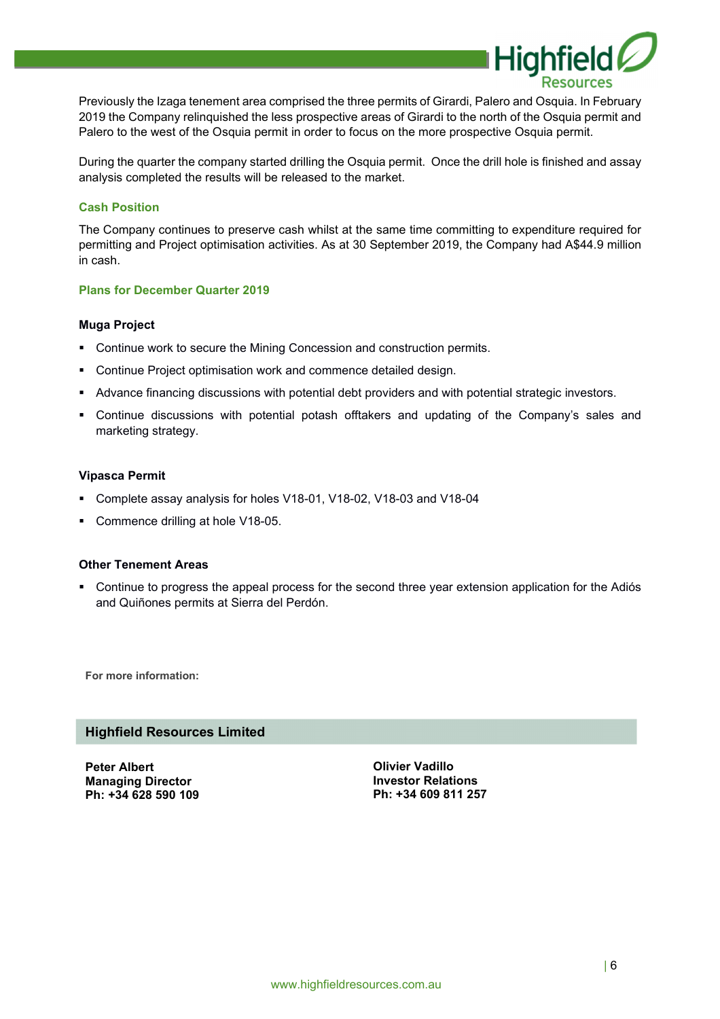

Previously the Izaga tenement area comprised the three permits of Girardi, Palero and Osquia. In February 2019 the Company relinquished the less prospective areas of Girardi to the north of the Osquia permit and Palero to the west of the Osquia permit in order to focus on the more prospective Osquia permit.

During the quarter the company started drilling the Osquia permit. Once the drill hole is finished and assay analysis completed the results will be released to the market.

#### **Cash Position**

The Company continues to preserve cash whilst at the same time committing to expenditure required for permitting and Project optimisation activities. As at 30 September 2019, the Company had A\$44.9 million in cash.

#### **Plans for December Quarter 2019**

#### **Muga Project**

- **Continue work to secure the Mining Concession and construction permits.**
- Continue Project optimisation work and commence detailed design.
- Advance financing discussions with potential debt providers and with potential strategic investors.
- Continue discussions with potential potash offtakers and updating of the Company's sales and marketing strategy.

#### **Vipasca Permit**

- Complete assay analysis for holes V18-01, V18-02, V18-03 and V18-04
- **Commence drilling at hole V18-05.**

#### **Other Tenement Areas**

 Continue to progress the appeal process for the second three year extension application for the Adiós and Quiñones permits at Sierra del Perdón.

**For more information:** 

### **Highfield Resources Limited**

**Peter Albert Managing Director Ph: +34 628 590 109** 

**Olivier Vadillo Investor Relations Ph: +34 609 811 257**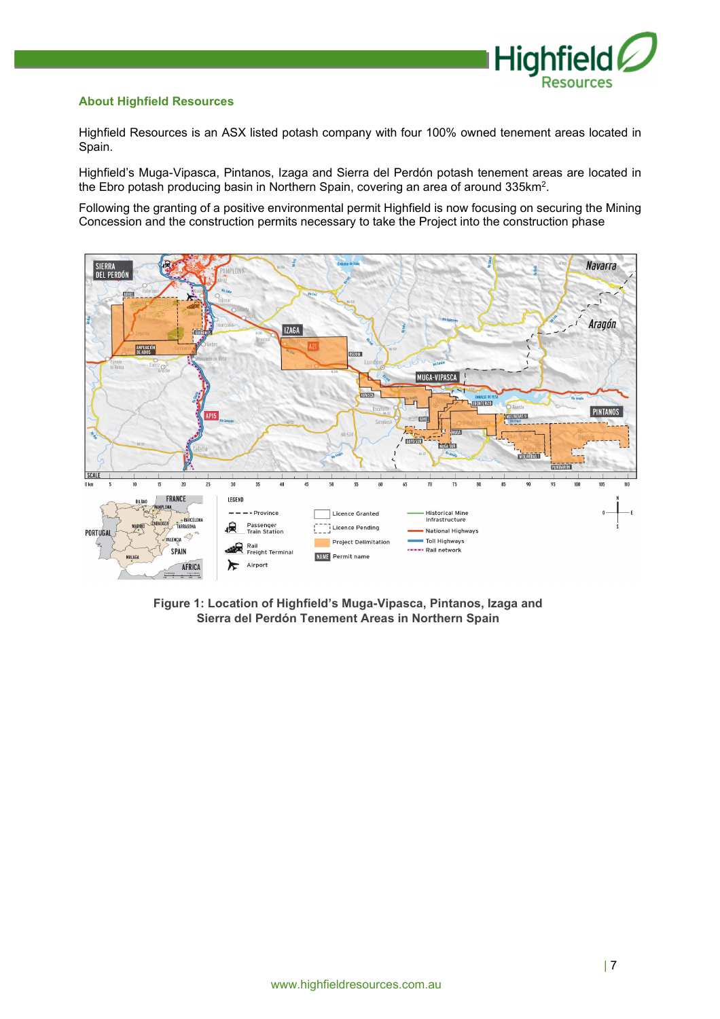

### **About Highfield Resources**

Highfield Resources is an ASX listed potash company with four 100% owned tenement areas located in Spain.

Highfield's Muga-Vipasca, Pintanos, Izaga and Sierra del Perdón potash tenement areas are located in the Ebro potash producing basin in Northern Spain, covering an area of around 335km<sup>2</sup> .

Following the granting of a positive environmental permit Highfield is now focusing on securing the Mining Concession and the construction permits necessary to take the Project into the construction phase



**Figure 1: Location of Highfield's Muga-Vipasca, Pintanos, Izaga and Sierra del Perdón Tenement Areas in Northern Spain**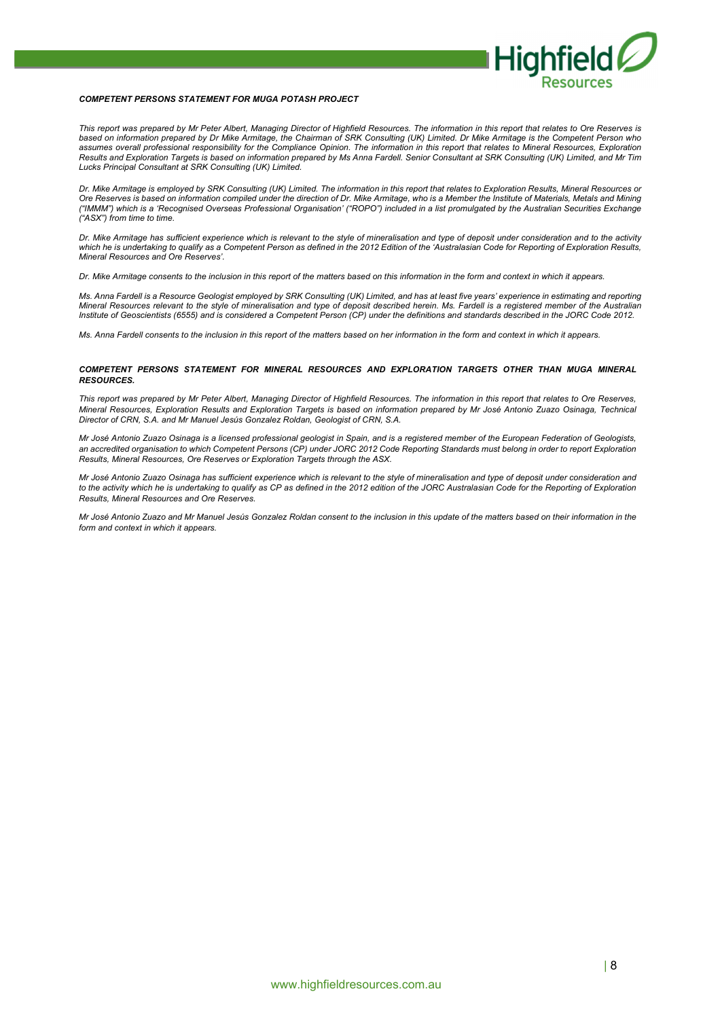

#### *COMPETENT PERSONS STATEMENT FOR MUGA POTASH PROJECT*

*This report was prepared by Mr Peter Albert, Managing Director of Highfield Resources. The information in this report that relates to Ore Reserves is based on information prepared by Dr Mike Armitage, the Chairman of SRK Consulting (UK) Limited. Dr Mike Armitage is the Competent Person who*  assumes overall professional responsibility for the Compliance Opinion. The information in this report that relates to Mineral Resources, Exploration *Results and Exploration Targets is based on information prepared by Ms Anna Fardell. Senior Consultant at SRK Consulting (UK) Limited, and Mr Tim Lucks Principal Consultant at SRK Consulting (UK) Limited.* 

*Dr. Mike Armitage is employed by SRK Consulting (UK) Limited. The information in this report that relates to Exploration Results, Mineral Resources or Ore Reserves is based on information compiled under the direction of Dr. Mike Armitage, who is a Member the Institute of Materials, Metals and Mining ("IMMM") which is a 'Recognised Overseas Professional Organisation' ("ROPO") included in a list promulgated by the Australian Securities Exchange ("ASX") from time to time.* 

*Dr. Mike Armitage has sufficient experience which is relevant to the style of mineralisation and type of deposit under consideration and to the activity*  which he is undertaking to qualify as a Competent Person as defined in the 2012 Edition of the 'Australasian Code for Reporting of Exploration Results, *Mineral Resources and Ore Reserves'.* 

*Dr. Mike Armitage consents to the inclusion in this report of the matters based on this information in the form and context in which it appears.* 

*Ms. Anna Fardell is a Resource Geologist employed by SRK Consulting (UK) Limited, and has at least five years' experience in estimating and reporting Mineral Resources relevant to the style of mineralisation and type of deposit described herein. Ms. Fardell is a registered member of the Australian Institute of Geoscientists (6555) and is considered a Competent Person (CP) under the definitions and standards described in the JORC Code 2012.* 

*Ms. Anna Fardell consents to the inclusion in this report of the matters based on her information in the form and context in which it appears.* 

#### *COMPETENT PERSONS STATEMENT FOR MINERAL RESOURCES AND EXPLORATION TARGETS OTHER THAN MUGA MINERAL RESOURCES.*

*This report was prepared by Mr Peter Albert, Managing Director of Highfield Resources. The information in this report that relates to Ore Reserves, Mineral Resources, Exploration Results and Exploration Targets is based on information prepared by Mr José Antonio Zuazo Osinaga, Technical Director of CRN, S.A. and Mr Manuel Jesús Gonzalez Roldan, Geologist of CRN, S.A.* 

*Mr José Antonio Zuazo Osinaga is a licensed professional geologist in Spain, and is a registered member of the European Federation of Geologists, an accredited organisation to which Competent Persons (CP) under JORC 2012 Code Reporting Standards must belong in order to report Exploration Results, Mineral Resources, Ore Reserves or Exploration Targets through the ASX.* 

*Mr José Antonio Zuazo Osinaga has sufficient experience which is relevant to the style of mineralisation and type of deposit under consideration and*  to the activity which he is undertaking to qualify as CP as defined in the 2012 edition of the JORC Australasian Code for the Reporting of Exploration *Results, Mineral Resources and Ore Reserves.* 

*Mr José Antonio Zuazo and Mr Manuel Jesús Gonzalez Roldan consent to the inclusion in this update of the matters based on their information in the form and context in which it appears.*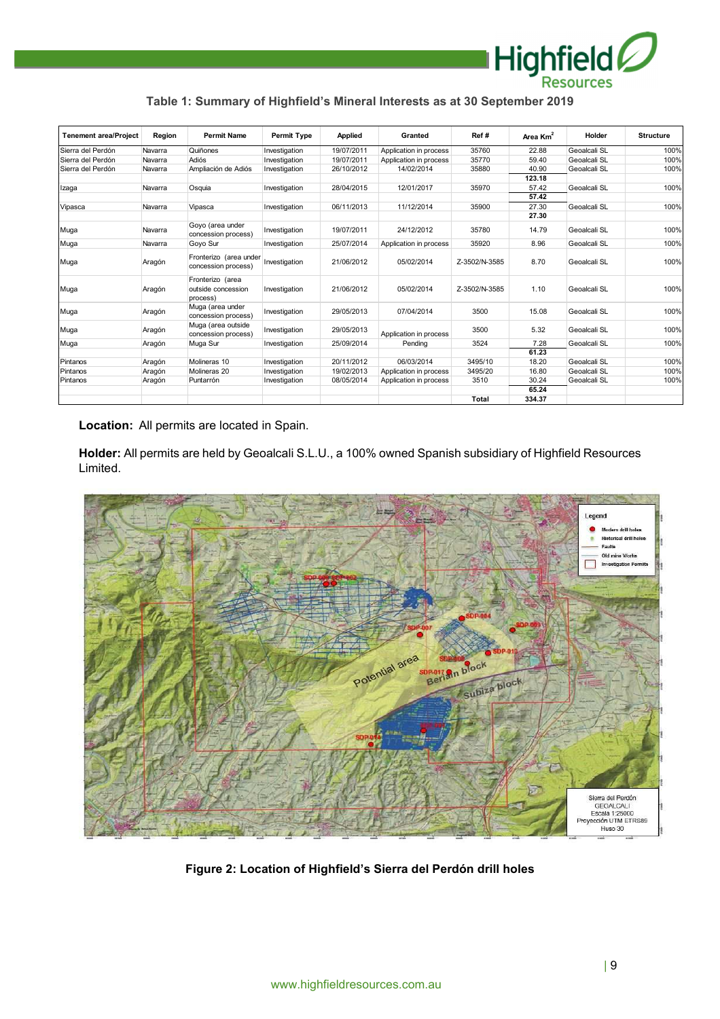

## **Table 1: Summary of Highfield's Mineral Interests as at 30 September 2019**

| <b>Tenement area/Project</b> | Region  | <b>Permit Name</b>                                 | Permit Type   | <b>Applied</b> | Granted                | Ref#          | Area Km <sup>2</sup> | Holder       | <b>Structure</b> |
|------------------------------|---------|----------------------------------------------------|---------------|----------------|------------------------|---------------|----------------------|--------------|------------------|
| Sierra del Perdón            | Navarra | Quiñones                                           | Investigation | 19/07/2011     | Application in process | 35760         | 22.88                | Geoalcali SL | 100%             |
| Sierra del Perdón            | Navarra | Adiós                                              | Investigation | 19/07/2011     | Application in process | 35770         | 59.40                | Geoalcali SL | 100%             |
| Sierra del Perdón            | Navarra | Ampliación de Adiós                                | Investigation | 26/10/2012     | 14/02/2014             | 35880         | 40.90                | Geoalcali SL | 100%             |
|                              |         |                                                    |               |                |                        |               | 123.18               |              |                  |
| Izaga                        | Navarra | Osquia                                             | Investigation | 28/04/2015     | 12/01/2017             | 35970         | 57.42                | Geoalcali SL | 100%             |
|                              |         |                                                    |               |                |                        |               | 57.42                |              |                  |
| Vipasca                      | Navarra | Vipasca                                            | Investigation | 06/11/2013     | 11/12/2014             | 35900         | 27.30                | Geoalcali SL | 100%             |
|                              |         |                                                    |               |                |                        |               | 27.30                |              |                  |
| Muga                         | Navarra | Goyo (area under<br>concession process)            | Investigation | 19/07/2011     | 24/12/2012             | 35780         | 14.79                | Geoalcali SL | 100%             |
| Muga                         | Navarra | Goyo Sur                                           | Investigation | 25/07/2014     | Application in process | 35920         | 8.96                 | Geoalcali SL | 100%             |
| Muga                         | Aragón  | Fronterizo (area under<br>concession process)      | Investigation | 21/06/2012     | 05/02/2014             | Z-3502/N-3585 | 8.70                 | Geoalcali SL | 100%             |
| Muga                         | Aragón  | Fronterizo (area<br>outside concession<br>process) | Investigation | 21/06/2012     | 05/02/2014             | Z-3502/N-3585 | 1.10                 | Geoalcali SL | 100%             |
| Muga                         | Aragón  | Muga (area under<br>concession process)            | Investigation | 29/05/2013     | 07/04/2014             | 3500          | 15.08                | Geoalcali SL | 100%             |
| Muga                         | Aragón  | Muga (area outside<br>concession process)          | Investigation | 29/05/2013     | Application in process | 3500          | 5.32                 | Geoalcali SL | 100%             |
| Muga                         | Aragón  | Muga Sur                                           | Investigation | 25/09/2014     | Pending                | 3524          | 7.28                 | Geoalcali SL | 100%             |
|                              |         |                                                    |               |                |                        |               | 61.23                |              |                  |
| Pintanos                     | Aragón  | Molineras 10                                       | Investigation | 20/11/2012     | 06/03/2014             | 3495/10       | 18.20                | Geoalcali SL | 100%             |
| Pintanos                     | Aragón  | Molineras 20                                       | Investigation | 19/02/2013     | Application in process | 3495/20       | 16.80                | Geoalcali SL | 100%             |
| Pintanos                     | Aragón  | Puntarrón                                          | Investigation | 08/05/2014     | Application in process | 3510          | 30.24                | Geoalcali SL | 100%             |
|                              |         |                                                    |               |                |                        |               | 65.24                |              |                  |
|                              |         |                                                    |               |                |                        | <b>Total</b>  | 334.37               |              |                  |

**Location:** All permits are located in Spain.

**Holder:** All permits are held by Geoalcali S.L.U., a 100% owned Spanish subsidiary of Highfield Resources Limited.



**Figure 2: Location of Highfield's Sierra del Perdón drill holes**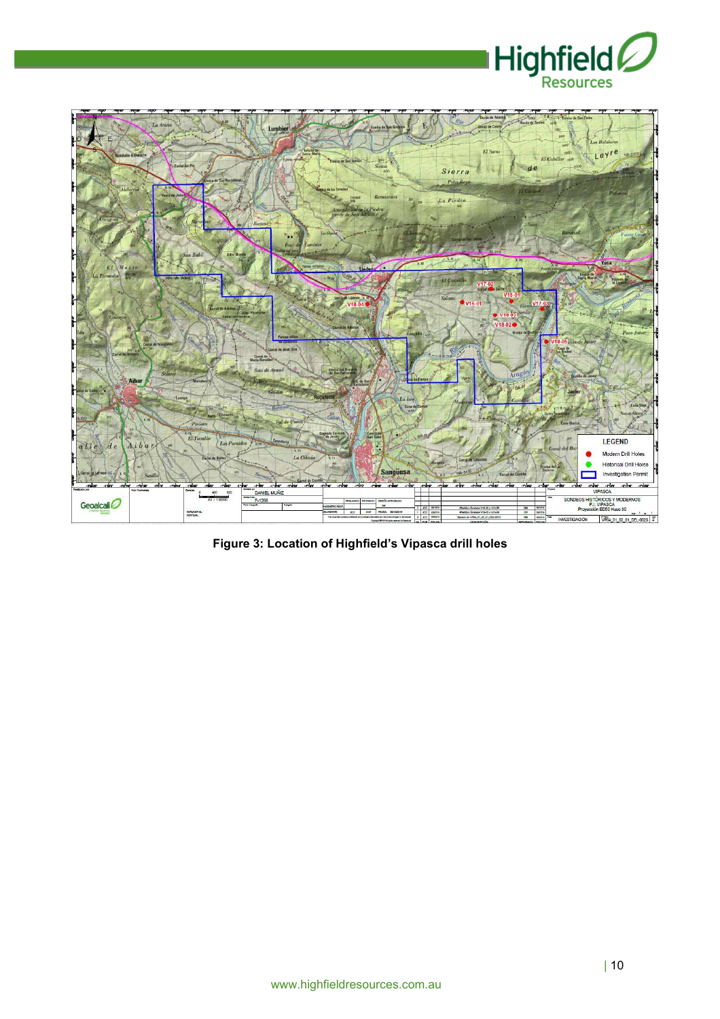



**Figure 3: Location of Highfield's Vipasca drill holes**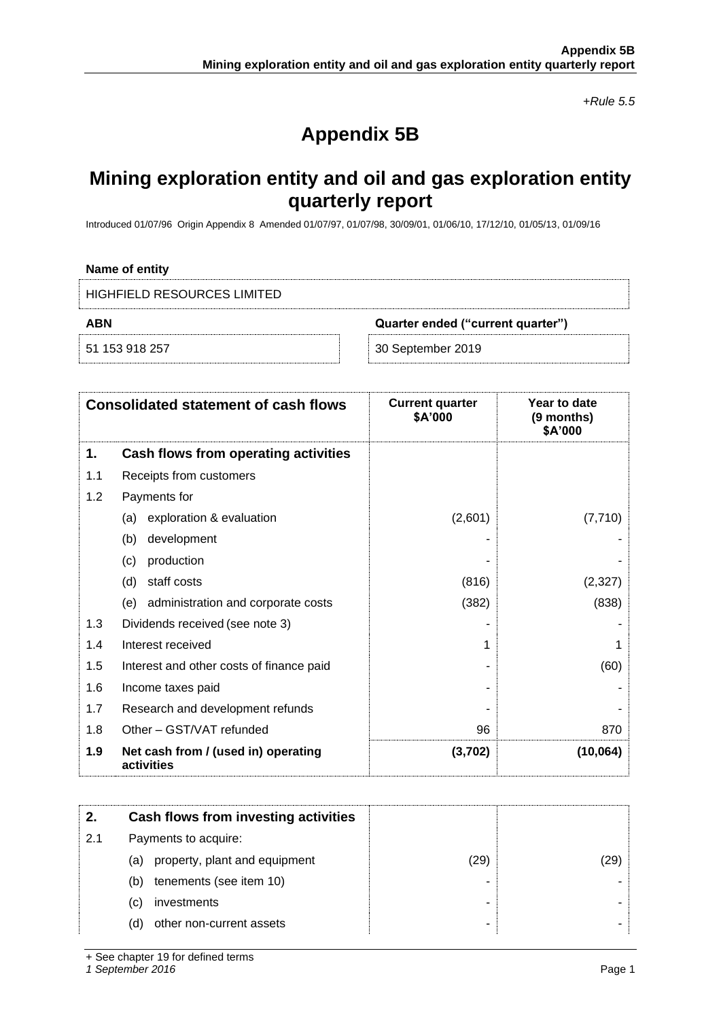*+Rule 5.5*

# **Appendix 5B**

# **Mining exploration entity and oil and gas exploration entity quarterly report**

Introduced 01/07/96 Origin Appendix 8 Amended 01/07/97, 01/07/98, 30/09/01, 01/06/10, 17/12/10, 01/05/13, 01/09/16

#### **Name of entity**

| HIGHFIELD RESOURCES LIMITED |                                   |  |
|-----------------------------|-----------------------------------|--|
| ABN                         | Quarter ended ("current quarter") |  |
| 51 153 918 257              | 30 September 2019                 |  |

|     | <b>Consolidated statement of cash flows</b>       | <b>Current quarter</b><br>\$A'000 | Year to date<br>(9 months)<br>\$A'000 |
|-----|---------------------------------------------------|-----------------------------------|---------------------------------------|
| 1.  | Cash flows from operating activities              |                                   |                                       |
| 1.1 | Receipts from customers                           |                                   |                                       |
| 1.2 | Payments for                                      |                                   |                                       |
|     | exploration & evaluation<br>(a)                   | (2,601)                           | (7, 710)                              |
|     | development<br>(b)                                |                                   |                                       |
|     | production<br>(c)                                 |                                   |                                       |
|     | staff costs<br>(d)                                | (816)                             | (2, 327)                              |
|     | (e)<br>administration and corporate costs         | (382)                             | (838)                                 |
| 1.3 | Dividends received (see note 3)                   |                                   |                                       |
| 1.4 | Interest received                                 |                                   |                                       |
| 1.5 | Interest and other costs of finance paid          |                                   | (60)                                  |
| 1.6 | Income taxes paid                                 |                                   |                                       |
| 1.7 | Research and development refunds                  |                                   |                                       |
| 1.8 | Other - GST/VAT refunded                          | 96                                | 870                                   |
| 1.9 | Net cash from / (used in) operating<br>activities | (3,702)                           | (10, 064)                             |

|     | Cash flows from investing activities |      |      |
|-----|--------------------------------------|------|------|
| 2.1 | Payments to acquire:                 |      |      |
|     | property, plant and equipment<br>(a) | (29) | (29) |
|     | tenements (see item 10)<br>(b)       |      |      |
|     | investments<br>(C)                   |      |      |
|     | other non-current assets<br>(d)      |      |      |

+ See chapter 19 for defined terms

*1 September 2016* Page 1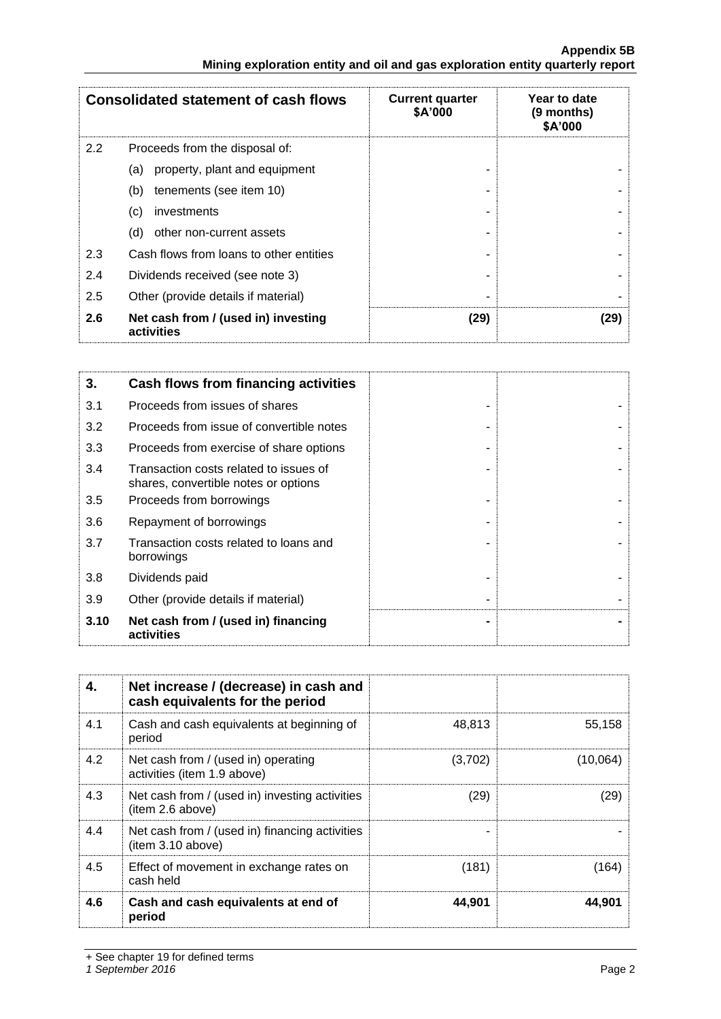|     | <b>Consolidated statement of cash flows</b>       | <b>Current quarter</b><br>\$A'000 | Year to date<br>(9 months)<br>\$A'000 |
|-----|---------------------------------------------------|-----------------------------------|---------------------------------------|
| 2.2 | Proceeds from the disposal of:                    |                                   |                                       |
|     | property, plant and equipment<br>(a)              |                                   |                                       |
|     | tenements (see item 10)<br>(b)                    |                                   |                                       |
|     | investments<br>(C)                                |                                   |                                       |
|     | other non-current assets<br>(d)                   |                                   |                                       |
| 2.3 | Cash flows from loans to other entities           |                                   |                                       |
| 2.4 | Dividends received (see note 3)                   |                                   |                                       |
| 2.5 | Other (provide details if material)               |                                   |                                       |
| 2.6 | Net cash from / (used in) investing<br>activities | (29)                              | (29)                                  |

| 3.   | <b>Cash flows from financing activities</b>                                    |  |
|------|--------------------------------------------------------------------------------|--|
| 3.1  | Proceeds from issues of shares                                                 |  |
| 3.2  | Proceeds from issue of convertible notes                                       |  |
| 3.3  | Proceeds from exercise of share options                                        |  |
| 3.4  | Transaction costs related to issues of<br>shares, convertible notes or options |  |
| 3.5  | Proceeds from borrowings                                                       |  |
| 3.6  | Repayment of borrowings                                                        |  |
| 3.7  | Transaction costs related to loans and<br>borrowings                           |  |
| 3.8  | Dividends paid                                                                 |  |
| 3.9  | Other (provide details if material)                                            |  |
| 3.10 | Net cash from / (used in) financing<br>activities                              |  |

| 4.  | Net increase / (decrease) in cash and<br>cash equivalents for the period |         |          |
|-----|--------------------------------------------------------------------------|---------|----------|
| 4.1 | Cash and cash equivalents at beginning of<br>period                      | 48,813  | 55.158   |
| 4.2 | Net cash from / (used in) operating<br>activities (item 1.9 above)       | (3,702) | (10,064) |
| 4.3 | Net cash from / (used in) investing activities<br>(item 2.6 above)       | (29)    | (29)     |
| 4.4 | Net cash from / (used in) financing activities<br>(item 3.10 above)      |         |          |
| 4.5 | Effect of movement in exchange rates on<br>cash held                     | (181)   | (164)    |
| 4.6 | Cash and cash equivalents at end of<br>period                            | 44.901  | 44.901   |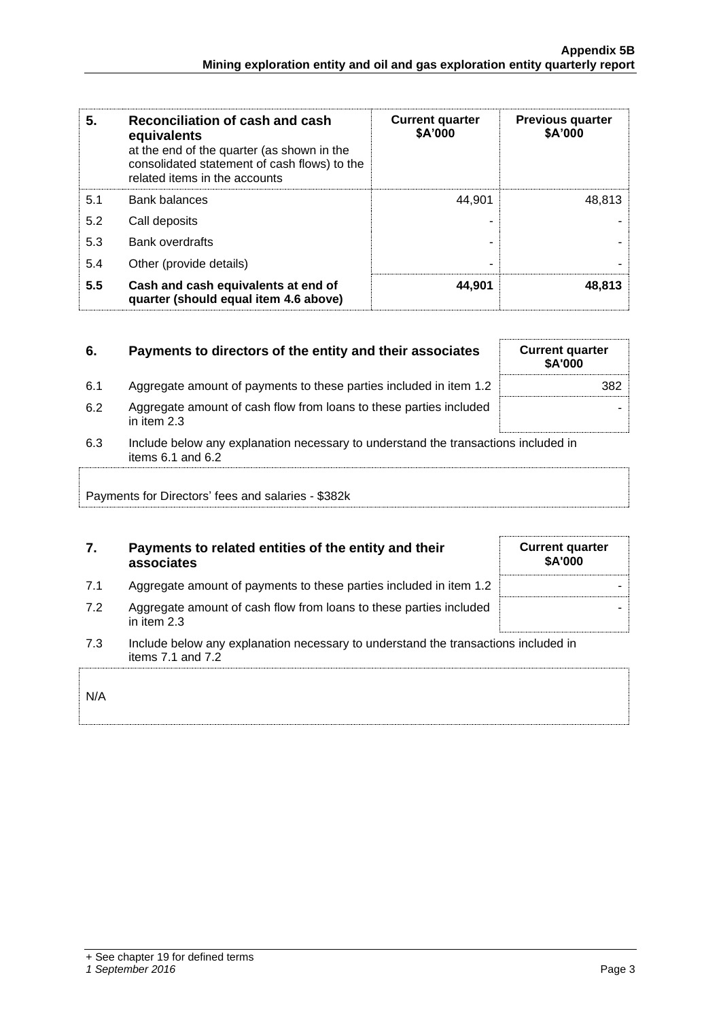| 5.  | Reconciliation of cash and cash<br>equivalents<br>at the end of the quarter (as shown in the<br>consolidated statement of cash flows) to the<br>related items in the accounts | <b>Current quarter</b><br>\$A'000 | <b>Previous quarter</b><br>\$A'000 |
|-----|-------------------------------------------------------------------------------------------------------------------------------------------------------------------------------|-----------------------------------|------------------------------------|
| 5.1 | <b>Bank balances</b>                                                                                                                                                          | 44.901                            | 48.813                             |
| 5.2 | Call deposits                                                                                                                                                                 |                                   |                                    |
| 5.3 | <b>Bank overdrafts</b>                                                                                                                                                        |                                   |                                    |
| 5.4 | Other (provide details)                                                                                                                                                       | -                                 |                                    |
| 5.5 | Cash and cash equivalents at end of<br>quarter (should equal item 4.6 above)                                                                                                  | 44.901                            | 48,813                             |

| 6.                                                 | Payments to directors of the entity and their associates                                                    | <b>Current quarter</b><br><b>\$A'000</b> |  |
|----------------------------------------------------|-------------------------------------------------------------------------------------------------------------|------------------------------------------|--|
| 6.1                                                | Aggregate amount of payments to these parties included in item 1.2                                          | 382                                      |  |
| 6.2                                                | Aggregate amount of cash flow from loans to these parties included<br>in item $2.3$                         |                                          |  |
| 6.3                                                | Include below any explanation necessary to understand the transactions included in<br>items $6.1$ and $6.2$ |                                          |  |
| Payments for Directors' fees and salaries - \$382k |                                                                                                             |                                          |  |

## **7. Payments to related entities of the entity and their associates**

| Aggregate amount of payments to these parties included in item 1.2 |  |
|--------------------------------------------------------------------|--|
|                                                                    |  |
|                                                                    |  |
|                                                                    |  |

- 7.2 Aggregate amount of cash flow from loans to these parties included in item 2.3
- 7.3 Include below any explanation necessary to understand the transactions included in items 7.1 and 7.2

| <b>Current quarter</b><br>\$A'000 |  |
|-----------------------------------|--|
|                                   |  |
|                                   |  |
|                                   |  |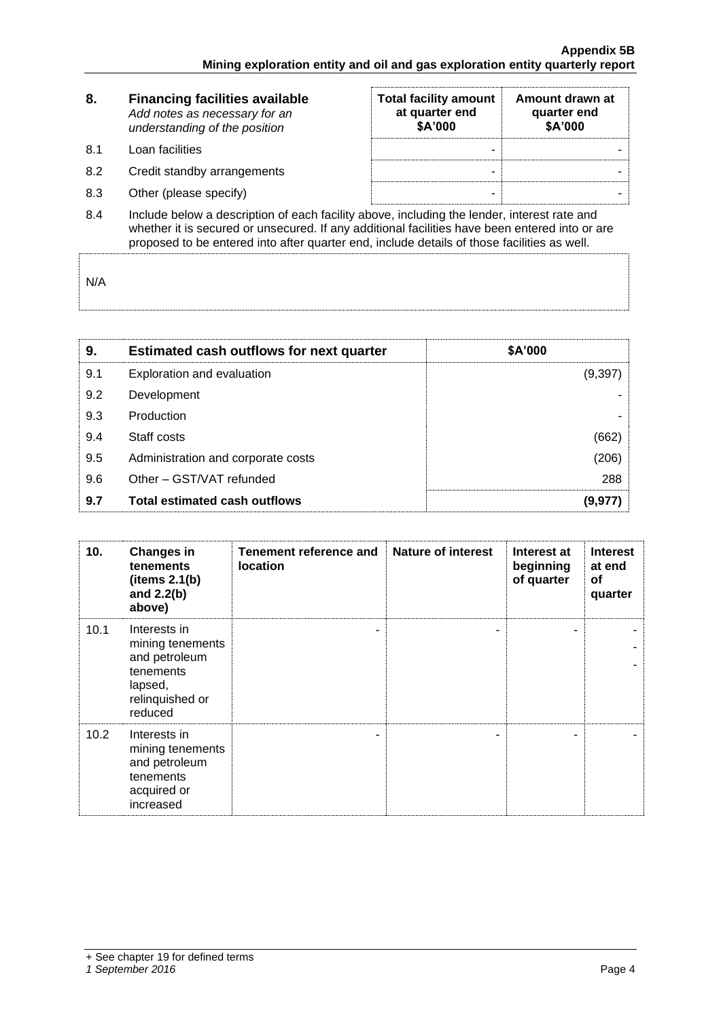| 8.                 | <b>Financing facilities available</b><br>Add notes as necessary for an<br>understanding of the position | <b>Total facility amount</b><br>at quarter end<br>\$A'000 | Amount drawn at<br>quarter end<br>\$A'000 |  |  |  |
|--------------------|---------------------------------------------------------------------------------------------------------|-----------------------------------------------------------|-------------------------------------------|--|--|--|
| 8.1                | Loan facilities                                                                                         |                                                           |                                           |  |  |  |
| 8.2                | Credit standby arrangements                                                                             | -                                                         |                                           |  |  |  |
| 8.3                | Other (please specify)                                                                                  | -                                                         |                                           |  |  |  |
| $\Omega$ $\Lambda$ | Include below a description of each facility above including the lender, interest rate and              |                                                           |                                           |  |  |  |

8.4 Include below a description of each facility above, including the lender, interest rate and whether it is secured or unsecured. If any additional facilities have been entered into or are proposed to be entered into after quarter end, include details of those facilities as well.

N/A

| 9.  | <b>Estimated cash outflows for next quarter</b> | \$A'000 |
|-----|-------------------------------------------------|---------|
| 9.1 | Exploration and evaluation                      | (9,397) |
| 9.2 | Development                                     |         |
| 9.3 | Production                                      |         |
| 9.4 | Staff costs                                     | (662)   |
| 9.5 | Administration and corporate costs              | (206)   |
| 9.6 | Other – GST/VAT refunded                        | 288     |
| 9.7 | <b>Total estimated cash outflows</b>            | (9.97   |

| 10.  | <b>Changes in</b><br>tenements<br>(items 2.1(b))<br>and $2.2(b)$<br>above)                              | Tenement reference and<br><b>location</b> | <b>Nature of interest</b> | Interest at<br>beginning<br>of quarter | <b>Interest</b><br>at end<br>οf<br>quarter |
|------|---------------------------------------------------------------------------------------------------------|-------------------------------------------|---------------------------|----------------------------------------|--------------------------------------------|
| 10.1 | Interests in<br>mining tenements<br>and petroleum<br>tenements<br>lapsed,<br>relinquished or<br>reduced | ٠                                         |                           |                                        |                                            |
| 10.2 | Interests in<br>mining tenements<br>and petroleum<br>tenements<br>acquired or<br>increased              |                                           |                           |                                        |                                            |